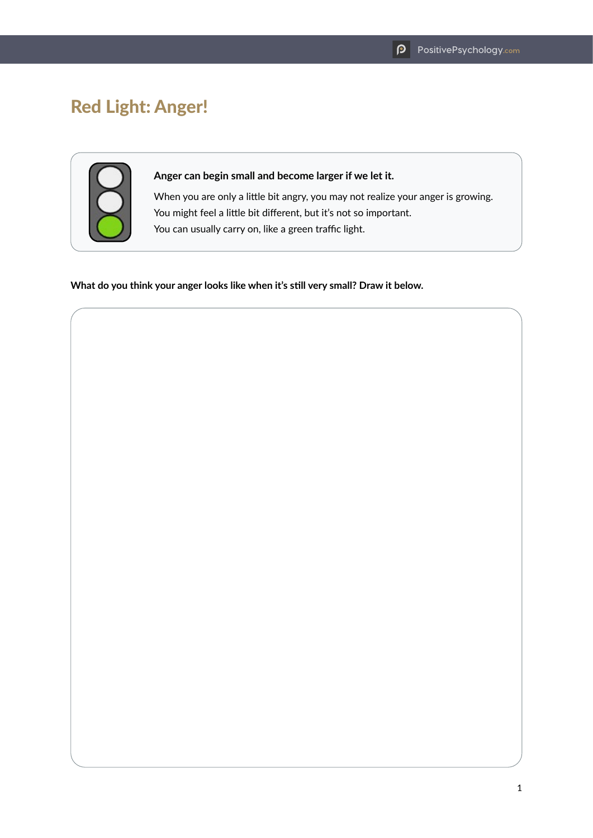## Red Light: Anger!



## **Anger can begin small and become larger if we let it.**

When you are only a little bit angry, you may not realize your anger is growing. You might feel a little bit different, but it's not so important. You can usually carry on, like a green traffic light.

**What do you think your anger looks like when it's still very small? Draw it below.**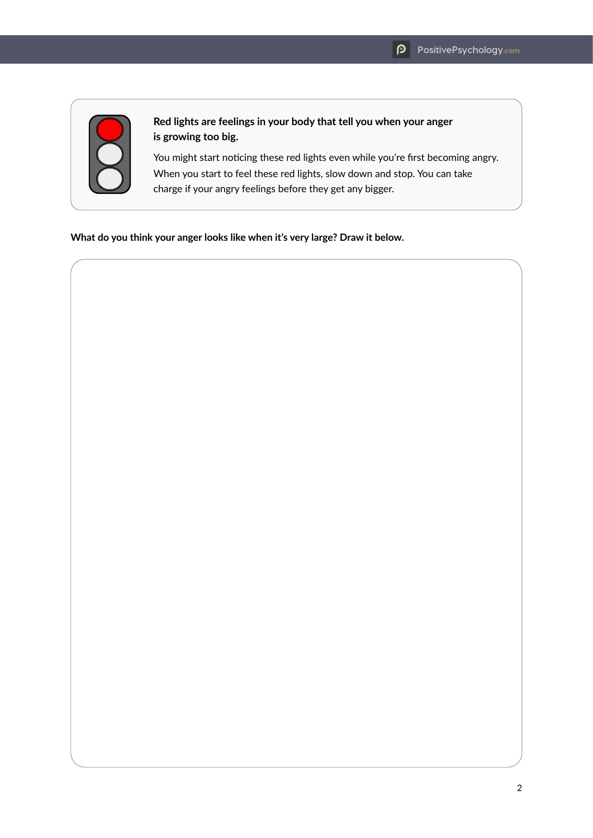

## **Red lights are feelings in your body that tell you when your anger is growing too big.**

You might start noticing these red lights even while you're first becoming angry. When you start to feel these red lights, slow down and stop. You can take charge if your angry feelings before they get any bigger.

**What do you think your anger looks like when it's very large? Draw it below.**